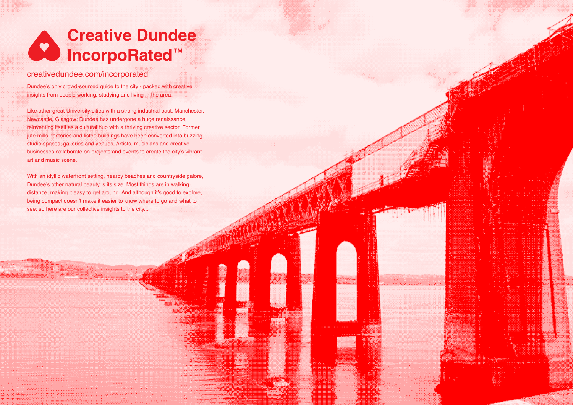# **Creative Dundee IncorpoRated**™

# [creativedundee.com/incorporated](http://creativedundee.com/incorporated)

Dundee's only crowd-sourced guide to the city - packed with creative insights from people working, studying and living in the area.

Like other great University cities with a strong industrial past, Manchester, Newcastle, Glasgow; Dundee has undergone a huge renaissance, reinventing itself as a cultural hub with a thriving creative sector. Former jute mills, factories and listed buildings have been converted into buzzing studio spaces, galleries and venues. Artists, musicians and creative businesses collaborate on projects and events to create the city's vibrant art and music scene.

With an idyllic waterfront setting, nearby beaches and countryside galore, Dundee's other natural beauty is its size. Most things are in walking distance, making it easy to get around. And although it's good to explore, being compact doesn't make it easier to know where to go and what to see; so here are our collective insights to the city...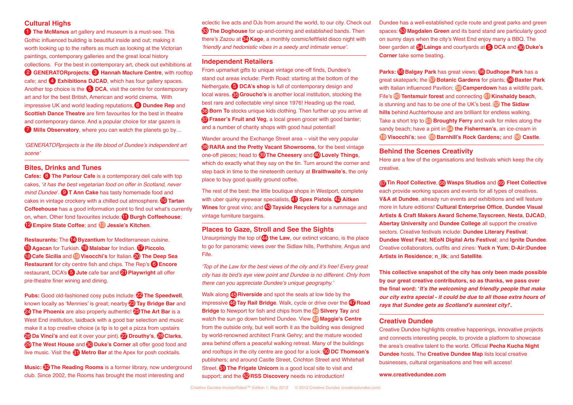# **Cultural Highs**

**[The McManus](http://www.mcmanus.co.uk)** art gallery and museum is a must-see. This Gothic influenced building is beautiful inside and out; making it worth looking up to the rafters as much as looking at the Victorian paintings, contemporary galleries and the great local history collections. For the best in contemporary art, check out exhibitions at **[GENERATORprojects](http://www.generatorprojects.co.uk); 6 [Hannah Maclure Centre](http://hannahmaclurecentre.abertay.ac.uk), with rooftop C** cafe; and **4** [Exhibitions DJCAD](http://www.dundee.ac.uk/djcad/exhibitions), which has four gallery spaces. Another top choice is the **D[DCA](http://www.dca.org.uk)**, visit the centre for contemporary art and for the best British, American and world cinema. With impressive UK and world leading reputations, **6 [Dundee Rep](http://www.dundeerep.co.uk)** and **[Scottish Dance Theatre](http://www.scottishdancetheatre.com)** are firm favourites for the best in theatre and contemporary dance. And a popular choice for star gazers is **[Mills Observatory](http://www.dundeecity.gov.uk/mills)**, where you can watch the planets go by...

'GENERATORprojects is the life blood of Dundee's independent art scene'

## **Bites, Drinks and Tunes**

**Cafes: <sup>6</sup>** The [Parlour Cafe](https://www.facebook.com/parlourcafecookbook) is a contemporary deli cafe with top cakes, 'it has the best vegetarian food on offer in Scotland, never mind Dundee'. **9 [T Ann Cake](http://t-ann-cake.blogspot.co.uk)** has tasty homemade food and cakes in vintage crockery with a chilled out atmosphere. **(U) Tartan [Coffeehouse](http://www.tartan-coffeehouse.com)** has a good information point to find out what's currently on, when. Other fond favourites include: **U [Burgh Coffeehouse](http://www.facebook.com/BurghCoffee)**; **[Empire State Coffee](http://www.empirestatecoffee.com)**; and **13** [Jessie's Kitchen](https://www.facebook.com/pages/Jessies-Kitchen/189114634450256).

**Restaurants:** The **(4) [Byzantium](http://byzantiumrestaurant.com)** for Mediterranean cuisine. **D** [Agacan](http://www.tripadvisor.co.uk/Restaurant_Review-g186518-d886894-Reviews-Agacan-Dundee_Scotland.html) for Turkish. **(D** [Malabar](http://www.malabardundee.com) for Indian. **[Piccolo](http://piccolodundee.co.uk)**, **[Cafe Sicilia](http://www.tripadvisor.co.uk/Restaurant_Review-g186518-d2240853-Reviews-Cafe_Sicilia-Dundee_Scotland.html) and <b>O** [Visocchi's](http://www.tripadvisor.co.uk/Restaurant_Review-g186518-d919443-Reviews-Visocchi-Dundee_Scotland.html) for Italian. **20** The Deep Sea **Restaurant** for city centre fish and chips. The Rep's  $\bigcirc$  [Encore](http://www.encoredundee.co.uk) restaurant, DCA's **b** [Jute](http://www.dca.org.uk/visit/jute-caf-bar.html) cafe bar and **21 [Playwright](http://www.theplaywright.co.uk)** all offer pre-theatre finer wining and dining.

**Pubs:** Good old-fashioned cosy pubs include: 22 [The Speedwell](http://www.speedwell-bar.co.uk), known locally as 'Mennies' is great; nearby <sup>o</sup> [Tay Bridge Bar](http://maps.google.co.uk/maps/place%3Fhl%3Den%26client%3Dsafari%26rls%3Den%26biw%3D1280%26bih%3D580%26um%3D1%26ie%3DUTF-8%26q%3DTaybridge%2BBar%2Bdundee%26fb%3D1%26gl%3Duk%26hq%3DTaybridge%2BBar%26hnear%3D0x48864144ab639cd3:0x94e43b1e384be52a%2CDundee%2C%2BDundee%2BCity%26cid%3D13718490587378238739) and **The Phoenix** are also properly authentic! **<sup>25</sup> [The Art Bar](https://www.facebook.com/people/Art-Bar-Dundee/100000300892710)** is a West End institution, laidback with a good bar selection and music make it a top creative choice (a tip is to get a pizza from upstairs **26 [Da Vinci's](http://www.tripadvisor.co.uk/ShowUserReviews-g190832-d908544-r127022442-Da_Vinci_s-Durham_County_Durham_England.html)** and eat it over your pint). **[Drouthy's](http://www.fullerthomson.com/eating-and-drinking/drouthy-neebors)**, **CO [Clarks](https://www.facebook.com/pages/Clarks-on-Lindsay-Street/231504766887986)**, **29 [The West House](http://www.list.co.uk/place/44371-the-west-house)** and **60 [Duke's Corner](http://www.dukescorner.co.uk)** all offer good food and live music. Visit the **61 [Metro Bar](http://www.apexhotels.co.uk/en/hotels/dundee/apex-city-quay-hotel/explore/eat)** at the Apex for posh cocktails.

**Music: <sup>62</sup> [The Reading Rooms](http://readingroomsdundee.com)** is a former library, now underground club. Since 2002, the Rooms has brought the most interesting and

eclectic live acts and DJs from around the world, to our city. Check out **[The Doghouse](https://www.facebook.com/dundeedoghouse)** for up-and-coming and established bands. Then 33 there's [Zazou](https://www.facebook.com/profile.php%3Fid%3D100002420370876) at **&') [Kage](http://www.kagenightclub.com)**, a monthly cosmic/leftfield disco night with 'friendly and hedonistic vibes in a seedy and intimate venue'.

#### **Independent Retailers**

From upmarket gifts to unique vintage one-off finds, Dundee's stand out areas include: Perth Road: starting at the bottom of the Nethergate, **D[DCA's shop](http://www.dca.org.uk/shop/index.html)** is full of contemporary design and local wares. **65 [Groucho's](http://www.grouchos.co.uk)** is another local institution, stocking the best rare and collectable vinyl since 1976! Heading up the road, **[Born To](https://www.facebook.com/BornToBoutique)** stocks unique kids clothing. Then further up you arrive at 36 **[Fraser's Fruit and Veg](http://www.frasersfruitandveg.co.uk)**, a local green grocer with good banter; 37 and a number of charity shops with good haul potential!

Wander around the Exchange Street area – visit the very popular **RARA and the [Pretty Vacant Showrooms](https://www.facebook.com/RARA.vintage.dundee)**, for the best vintage 38 one-off pieces; head to **CO[The Cheesery](http://www.thecheesery.co.uk)** and **40 [Lovely Things](https://www.facebook.com/LovelyThingsLtd)**, which do exactly what they say on the tin. Turn around the corner and step back in time to the nineteenth century at **[Braithwaite's](http://www.list.co.uk/place/22271-ja-braithwaite-ltd)**, the only place to buy good quality ground coffee.

The rest of the best: the little boutique shops in Westport, complete with uber quirky eyewear specialists, **(1) [Spex Pistols](https://www.facebook.com/pages/SPeX-PisTOls/136375626465285). (2) Aitken [Wines](http://www.aitkenwines.com)** for great vino; and **43 [Tayside Recyclers](http://www.tfcr.org.uk)** for a rummage and vintage furniture bargains.

#### **Places to Gaze, Stroll and See the Sights**

Unsurprisingly the top of **44** [the Law](http://en.wikipedia.org/wiki/Law%2C_Dundee), our extinct volcano, is the place to go for panoramic views over the Sidlaw hills, Perthshire, Angus and Fife.

'Top of the Law for the best views of the city and it's free! Every great city has its bird's eye view point and Dundee is no different. Only from there can you appreciate Dundee's unique geography.'

Walk along **Riverside** and spot the seals at low tide by the 45 impressive 46 [Tay Rail Bridge](http://en.wikipedia.org/wiki/Tay_Rail_Bridge). Walk, cycle or drive over the 47 Road **[Bridge](http://www.tayroadbridge.co.uk)** to Newport for fish and chips from the 48 Silvery Tay and watch the sun go down behind Dundee. View 49 **[Maggie's Centre](http://www.maggiescentres.org/centres/dundee/introduction.html)** from the outside only, but well worth it as the building was designed by world-renowned architect Frank Gehry; and the mature wooded area behind offers a peaceful walking retreat. Many of the buildings and rooftops in the city centre are good for a look: **50 [DC Thomson's](http://www.dcthomson.co.uk)** publishers; and around Castle Street, Crichton Street and Whitehall Street. **51 [The Frigate Unicorn](http://www.frigateunicorn.org)** is a good local site to visit and support; and the **<sup>52</sup>[RSS Discovery](http://www.rrsdiscovery.com/index.php%3FpageID%3D129)** needs no introduction!

Dundee has a well-established cycle route and great parks and green spaces: **<b>33 [Magdalen Green](http://www.dundeecity.gov.uk/environment/magdalen)** and its band stand are particularly good on sunny days when the city's West End enjoy many a BBQ. The beer garden at  $\overline{G}$  [Laings](http://laingsbar.co.uk) and courtyards at  $\overline{G}$  [DCA](http://www.dca.org.uk) and  $\overline{g}$  Duke's **[Corner](http://www.fullerthomson.com/eating-and-drinking/dukes)** take some beating.

**Parks: (5) Balgay Park** has great views; (5) Dudhope Park has a great skatepark; the **[Botanic Gardens](http://www.dundee.ac.uk/botanic)** for plants; **Baxter Park** 57 58 with Italian influenced Pavilion; **CO Camperdown** has a wildlife park. **Fife's 60 Tentsmuir forest** and connecting **61 [Kinshaldy beach](http://www.pittenweemharbour.co.uk/beach_guide.htm)**, is stunning and has to be one of the UK's best. **the Sidlaw hills** behind Auchterhouse and are brilliant for endless walking. Take a short trip to 63 Broughty Ferry and walk for miles along the sandy beach; have a pint in 64 **the Fisherman's**, an ice-cream in **Visocchi's**; see **65 Barnhill's Rock Gardens;** and **66 Castle**.

## **Behind the Scenes Creativity**

Here are a few of the organisations and festivals which keep the city creative.

 $\sigma$  [Tin Roof Collective](https://www.facebook.com/tinroofdundee),  $\sigma$  [Wasps Studios](http://www.waspsstudios.org.uk/studios-spaces/meadow-mill-studios) and  $\sigma$  [Fleet Collective](http://www.fleetcollective.com) each provide working spaces and events for all types of creatives. **[V&A at Dundee](http://vandaatdundee.com)**, already run events and exhibitions and will feature more in future editions! **[Cultural Enterprise Office](http://www.culturalenterpriseoffice.co.uk)**, **[Dundee Visual](http://www.dvaa.info)  [Artists & Craft Makers Award Scheme](http://www.dvaa.info)**,**[Tayscreen](http://www.tayscreen.com)**, **[Nesta](http://www.nesta.org.uk/scotland)**, **[DJCAD](http://www.dundee.ac.uk/djcad)**, **[Abertay University](http://www.abertay.ac.uk)** and **[Dundee College](http://www.dundeecollege.ac.uk)** all support the creative sectors. Creative festivals include: **[Dundee Literary Festival](http://www.literarydundee.co.uk)**; **[Dundee West Fest](www.dundeewestfest.com)**; **[NEoN Digital Arts Festival](http://www.northeastofnorth.com)**; and **[Ignite Dundee](http://www.ignitedundee.co.uk)**. Creative collaborators, outfits and zines: **[Yuck n Yum](http://www.yucknyum.com)**; **[D-Air:Dundee](http://www.d-air.org)  [Artists in Residence](http://www.d-air.org)**; **[n\\_ilk](http://www.naeilk.com)**; and **[Satellite](http://satellitezine.com/news)**.

**This collective snapshot of the city has only been made possible by our great creative contributors, so as thanks, we pass over the final word: 'It's the welcoming and friendly people that make our city extra special - it could be due to all those extra hours of rays that Sundee gets as Scotland's sunniest city!'.** 

#### **[Creative Dundee](http://www.creativedundee.com)**

Creative Dundee highlights creative happenings, innovative projects and connects interesting people, to provide a platform to showcase the area's creative talent to the world. Official **[Pecha Kucha Night](http://www.pecha-kucha.org/night/dundee)  [Dundee](http://www.pecha-kucha.org/night/dundee)** hosts. The **[Creative Dundee Map](http://www.creativedundee.com/creative-dundee-map)** lists local creative businesses, cultural organisations and free wifi access!

#### **[www.creativedundee.com](http://www.creativedundee.com)**